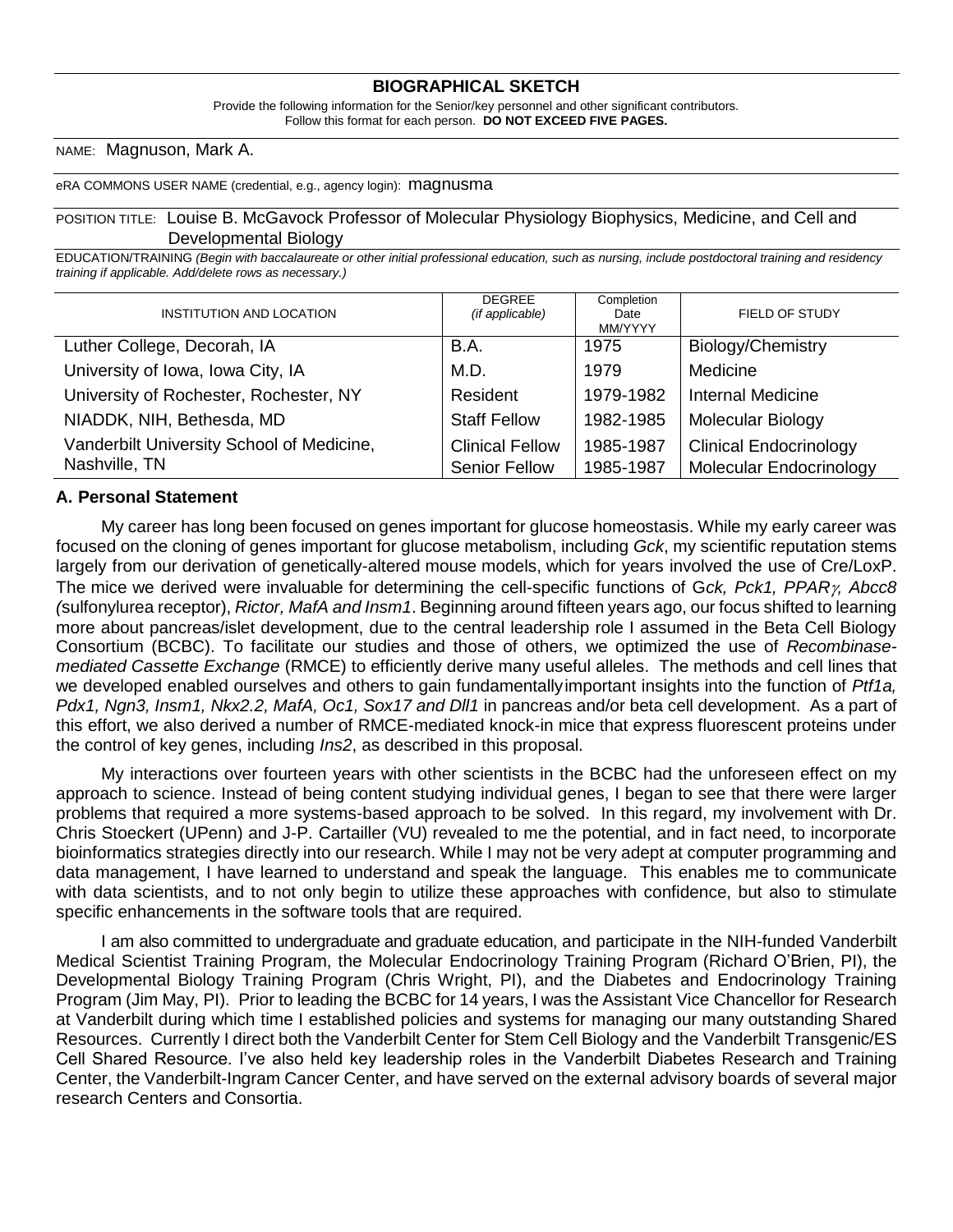### **BIOGRAPHICAL SKETCH**

Provide the following information for the Senior/key personnel and other significant contributors. Follow this format for each person. **DO NOT EXCEED FIVE PAGES.**

NAME: Magnuson, Mark A.

eRA COMMONS USER NAME (credential, e.g., agency login): magnusma

### POSITION TITLE: Louise B. McGavock Professor of Molecular Physiology Biophysics, Medicine, and Cell and Developmental Biology

EDUCATION/TRAINING *(Begin with baccalaureate or other initial professional education, such as nursing, include postdoctoral training and residency training if applicable. Add/delete rows as necessary.)*

| INSTITUTION AND LOCATION                  | <b>DEGREE</b><br>(if applicable) | Completion<br>Date<br>MM/YYYY | FIELD OF STUDY                |
|-------------------------------------------|----------------------------------|-------------------------------|-------------------------------|
| Luther College, Decorah, IA               | <b>B.A.</b>                      | 1975                          | Biology/Chemistry             |
| University of Iowa, Iowa City, IA         | M.D.                             | 1979                          | Medicine                      |
| University of Rochester, Rochester, NY    | Resident                         | 1979-1982                     | <b>Internal Medicine</b>      |
| NIADDK, NIH, Bethesda, MD                 | <b>Staff Fellow</b>              | 1982-1985                     | Molecular Biology             |
| Vanderbilt University School of Medicine, | <b>Clinical Fellow</b>           | 1985-1987                     | <b>Clinical Endocrinology</b> |
| Nashville, TN                             | <b>Senior Fellow</b>             | 1985-1987                     | Molecular Endocrinology       |

### **A. Personal Statement**

My career has long been focused on genes important for glucose homeostasis. While my early career was focused on the cloning of genes important for glucose metabolism, including *Gck*, my scientific reputation stems largely from our derivation of genetically-altered mouse models, which for years involved the use of Cre/LoxP. The mice we derived were invaluable for determining the cell-specific functions of G*ck, Pck1, PPAR, Abcc8 (*sulfonylurea receptor), *Rictor, MafA and Insm1*. Beginning around fifteen years ago, our focus shifted to learning more about pancreas/islet development, due to the central leadership role I assumed in the Beta Cell Biology Consortium (BCBC). To facilitate our studies and those of others, we optimized the use of *Recombinasemediated Cassette Exchange* (RMCE) to efficiently derive many useful alleles. The methods and cell lines that we developed enabled ourselves and others to gain fundamentallyimportant insights into the function of *Ptf1a, Pdx1, Ngn3, Insm1, Nkx2.2, MafA, Oc1, Sox17 and Dll1* in pancreas and/or beta cell development. As a part of this effort, we also derived a number of RMCE-mediated knock-in mice that express fluorescent proteins under the control of key genes, including *Ins2*, as described in this proposal.

My interactions over fourteen years with other scientists in the BCBC had the unforeseen effect on my approach to science. Instead of being content studying individual genes, I began to see that there were larger problems that required a more systems-based approach to be solved. In this regard, my involvement with Dr. Chris Stoeckert (UPenn) and J-P. Cartailler (VU) revealed to me the potential, and in fact need, to incorporate bioinformatics strategies directly into our research. While I may not be very adept at computer programming and data management, I have learned to understand and speak the language. This enables me to communicate with data scientists, and to not only begin to utilize these approaches with confidence, but also to stimulate specific enhancements in the software tools that are required.

I am also committed to undergraduate and graduate education, and participate in the NIH-funded Vanderbilt Medical Scientist Training Program, the Molecular Endocrinology Training Program (Richard O'Brien, PI), the Developmental Biology Training Program (Chris Wright, PI), and the Diabetes and Endocrinology Training Program (Jim May, PI). Prior to leading the BCBC for 14 years, I was the Assistant Vice Chancellor for Research at Vanderbilt during which time I established policies and systems for managing our many outstanding Shared Resources. Currently I direct both the Vanderbilt Center for Stem Cell Biology and the Vanderbilt Transgenic/ES Cell Shared Resource. I've also held key leadership roles in the Vanderbilt Diabetes Research and Training Center, the Vanderbilt-Ingram Cancer Center, and have served on the external advisory boards of several major research Centers and Consortia.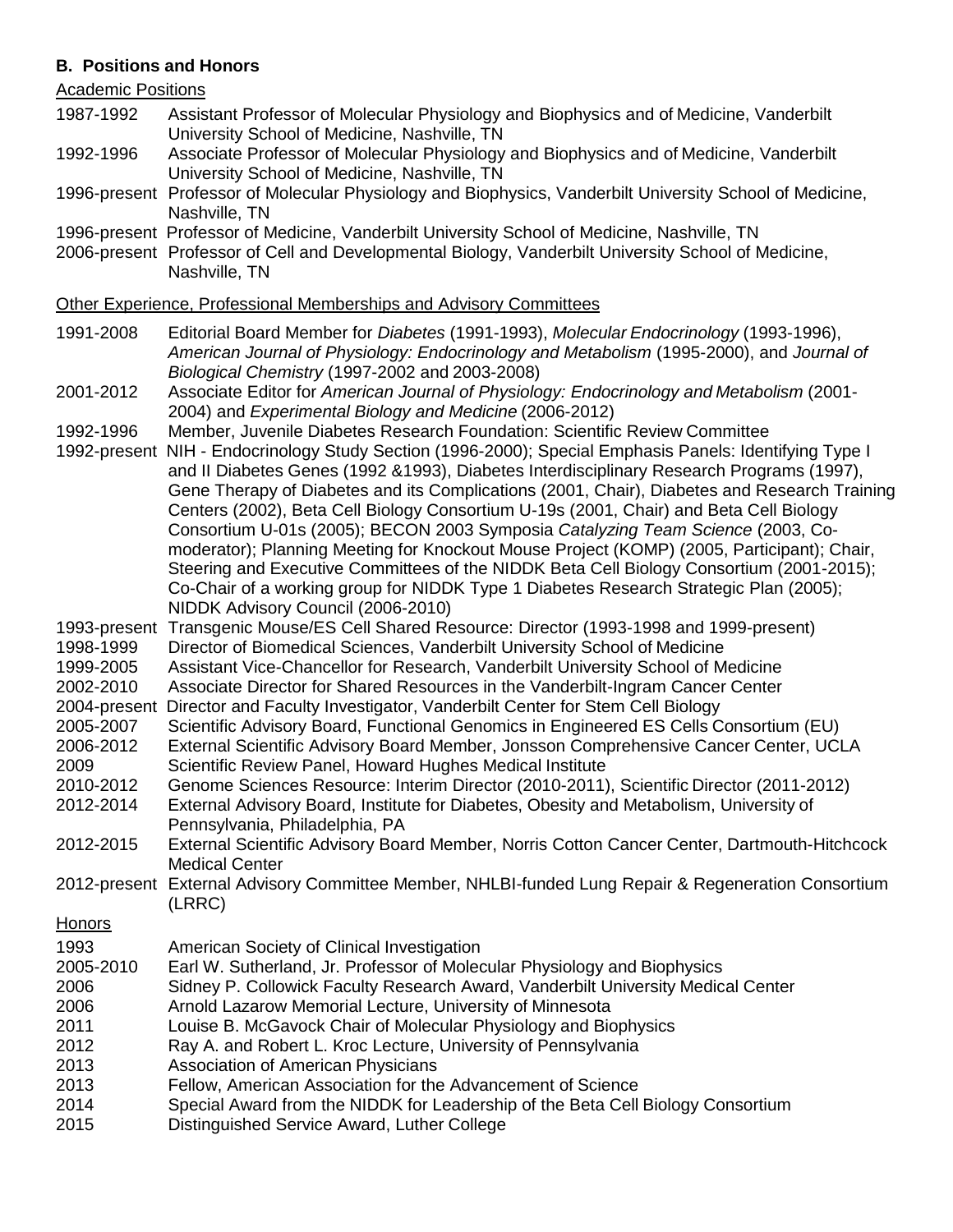## **B. Positions and Honors**

### Academic Positions

- 1987-1992 Assistant Professor of Molecular Physiology and Biophysics and of Medicine, Vanderbilt University School of Medicine, Nashville, TN
- 1992-1996 Associate Professor of Molecular Physiology and Biophysics and of Medicine, Vanderbilt University School of Medicine, Nashville, TN
- 1996-present Professor of Molecular Physiology and Biophysics, Vanderbilt University School of Medicine, Nashville, TN
- 1996-present Professor of Medicine, Vanderbilt University School of Medicine, Nashville, TN
- 2006-present Professor of Cell and Developmental Biology, Vanderbilt University School of Medicine, Nashville, TN

### Other Experience, Professional Memberships and Advisory Committees

- 1991-2008 Editorial Board Member for *Diabetes* (1991-1993), *Molecular Endocrinology* (1993-1996), *American Journal of Physiology: Endocrinology and Metabolism* (1995-2000), and *Journal of Biological Chemistry* (1997-2002 and 2003-2008)
- 2001-2012 Associate Editor for *American Journal of Physiology: Endocrinology and Metabolism* (2001- 2004) and *Experimental Biology and Medicine* (2006-2012)
- 1992-1996 Member, Juvenile Diabetes Research Foundation: Scientific Review Committee
- 1992-present NIH Endocrinology Study Section (1996-2000); Special Emphasis Panels: Identifying Type I and II Diabetes Genes (1992 &1993), Diabetes Interdisciplinary Research Programs (1997), Gene Therapy of Diabetes and its Complications (2001, Chair), Diabetes and Research Training Centers (2002), Beta Cell Biology Consortium U-19s (2001, Chair) and Beta Cell Biology Consortium U-01s (2005); BECON 2003 Symposia *Catalyzing Team Science* (2003, Comoderator); Planning Meeting for Knockout Mouse Project (KOMP) (2005, Participant); Chair, Steering and Executive Committees of the NIDDK Beta Cell Biology Consortium (2001-2015); Co-Chair of a working group for NIDDK Type 1 Diabetes Research Strategic Plan (2005); NIDDK Advisory Council (2006-2010)
- 1993-present Transgenic Mouse/ES Cell Shared Resource: Director (1993-1998 and 1999-present)
- 1998-1999 Director of Biomedical Sciences, Vanderbilt University School of Medicine
- 1999-2005 Assistant Vice-Chancellor for Research, Vanderbilt University School of Medicine
- 2002-2010 Associate Director for Shared Resources in the Vanderbilt-Ingram Cancer Center
- 2004-present Director and Faculty Investigator, Vanderbilt Center for Stem Cell Biology
- 2005-2007 Scientific Advisory Board, Functional Genomics in Engineered ES Cells Consortium (EU)
- 2006-2012 External Scientific Advisory Board Member, Jonsson Comprehensive Cancer Center, UCLA 2009 Scientific Review Panel, Howard Hughes Medical Institute
- 2010-2012 Genome Sciences Resource: Interim Director (2010-2011), Scientific Director (2011-2012)
- 2012-2014 External Advisory Board, Institute for Diabetes, Obesity and Metabolism, University of Pennsylvania, Philadelphia, PA
- 2012-2015 External Scientific Advisory Board Member, Norris Cotton Cancer Center, Dartmouth-Hitchcock Medical Center
- 2012-present External Advisory Committee Member, NHLBI-funded Lung Repair & Regeneration Consortium (LRRC)

### **Honors**

- 1993 American Society of Clinical Investigation
- 2005-2010 Earl W. Sutherland, Jr. Professor of Molecular Physiology and Biophysics
- 2006 Sidney P. Collowick Faculty Research Award, Vanderbilt University Medical Center
- 2006 Arnold Lazarow Memorial Lecture, University of Minnesota
- 2011 Louise B. McGavock Chair of Molecular Physiology and Biophysics
- 2012 Ray A. and Robert L. Kroc Lecture, University of Pennsylvania
- 2013 Association of American Physicians
- 2013 Fellow, American Association for the Advancement of Science
- 2014 Special Award from the NIDDK for Leadership of the Beta Cell Biology Consortium
- 2015 Distinguished Service Award, Luther College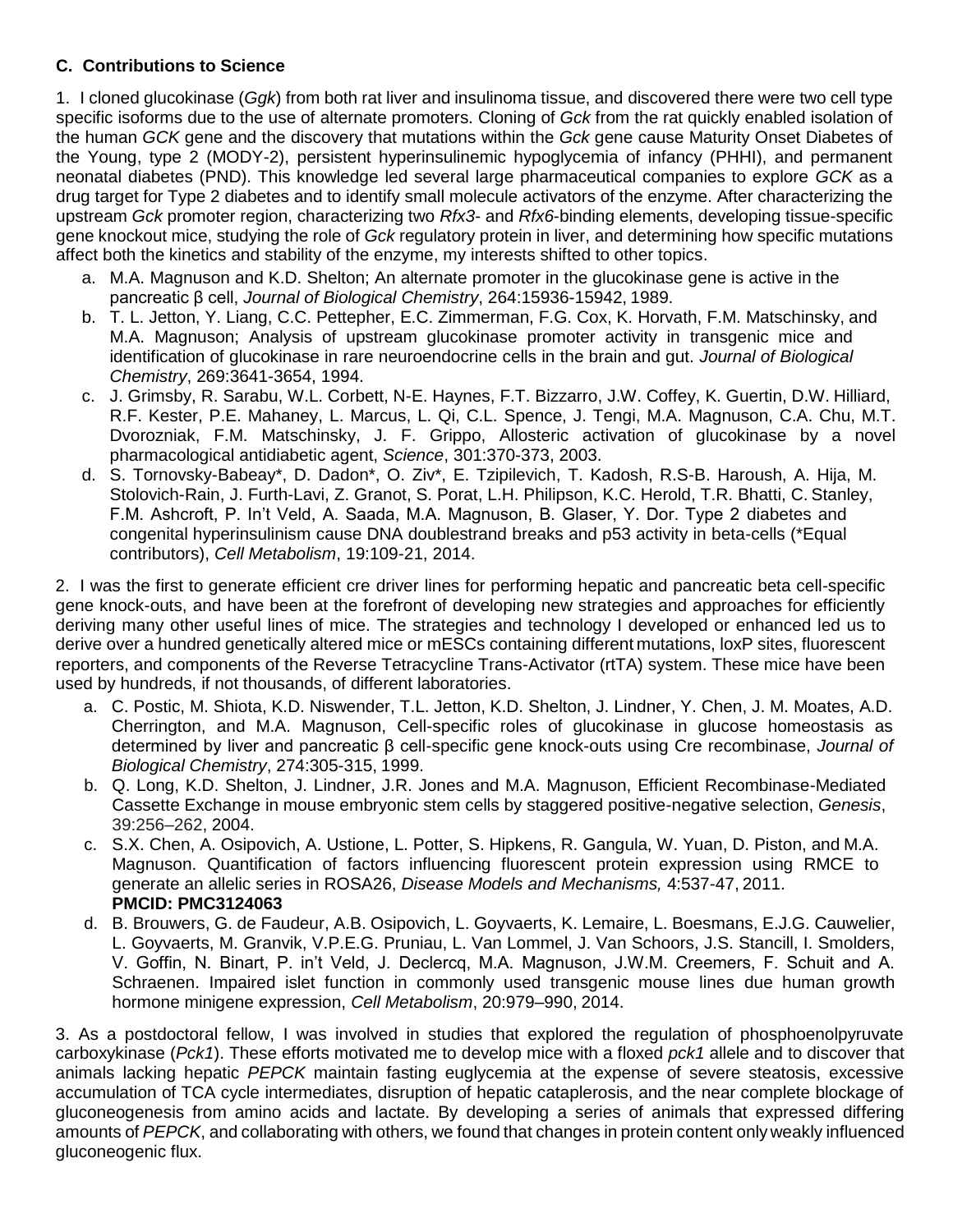## **C. Contributions to Science**

1. I cloned glucokinase (*Ggk*) from both rat liver and insulinoma tissue, and discovered there were two cell type specific isoforms due to the use of alternate promoters. Cloning of *Gck* from the rat quickly enabled isolation of the human *GCK* gene and the discovery that mutations within the *Gck* gene cause Maturity Onset Diabetes of the Young, type 2 (MODY-2), persistent hyperinsulinemic hypoglycemia of infancy (PHHI), and permanent neonatal diabetes (PND). This knowledge led several large pharmaceutical companies to explore *GCK* as a drug target for Type 2 diabetes and to identify small molecule activators of the enzyme. After characterizing the upstream *Gck* promoter region, characterizing two *Rfx3*- and *Rfx6*-binding elements, developing tissue-specific gene knockout mice, studying the role of *Gck* regulatory protein in liver, and determining how specific mutations affect both the kinetics and stability of the enzyme, my interests shifted to other topics.

- a. M.A. Magnuson and K.D. Shelton; An alternate promoter in the glucokinase gene is active in the pancreatic β cell, *Journal of Biological Chemistry*, 264:15936-15942, 1989.
- b. T. L. Jetton, Y. Liang, C.C. Pettepher, E.C. Zimmerman, F.G. Cox, K. Horvath, F.M. Matschinsky, and M.A. Magnuson; Analysis of upstream glucokinase promoter activity in transgenic mice and identification of glucokinase in rare neuroendocrine cells in the brain and gut. *Journal of Biological Chemistry*, 269:3641-3654, 1994.
- c. J. Grimsby, R. Sarabu, W.L. Corbett, N-E. Haynes, F.T. Bizzarro, J.W. Coffey, K. Guertin, D.W. Hilliard, R.F. Kester, P.E. Mahaney, L. Marcus, L. Qi, C.L. Spence, J. Tengi, M.A. Magnuson, C.A. Chu, M.T. Dvorozniak, F.M. Matschinsky, J. F. Grippo, Allosteric activation of glucokinase by a novel pharmacological antidiabetic agent, *Science*, 301:370-373, 2003.
- d. S. Tornovsky-Babeay\*, D. Dadon\*, O. Ziv\*, E. Tzipilevich, T. Kadosh, R.S-B. Haroush, A. Hija, M. Stolovich-Rain, J. Furth-Lavi, Z. Granot, S. Porat, L.H. Philipson, K.C. Herold, T.R. Bhatti, C. Stanley, F.M. Ashcroft, P. In't Veld, A. Saada, M.A. Magnuson, B. Glaser, Y. Dor. Type 2 diabetes and congenital hyperinsulinism cause DNA doublestrand breaks and p53 activity in beta-cells (\*Equal contributors), *Cell Metabolism*, 19:109-21, 2014.

2. I was the first to generate efficient cre driver lines for performing hepatic and pancreatic beta cell-specific gene knock-outs, and have been at the forefront of developing new strategies and approaches for efficiently deriving many other useful lines of mice. The strategies and technology I developed or enhanced led us to derive over a hundred genetically altered mice or mESCs containing different mutations, loxP sites, fluorescent reporters, and components of the Reverse Tetracycline Trans-Activator (rtTA) system. These mice have been used by hundreds, if not thousands, of different laboratories.

- a. C. Postic, M. Shiota, K.D. Niswender, T.L. Jetton, K.D. Shelton, J. Lindner, Y. Chen, J. M. Moates, A.D. Cherrington, and M.A. Magnuson, Cell-specific roles of glucokinase in glucose homeostasis as determined by liver and pancreatic β cell-specific gene knock-outs using Cre recombinase, *Journal of Biological Chemistry*, 274:305-315, 1999.
- b. Q. Long, K.D. Shelton, J. Lindner, J.R. Jones and M.A. Magnuson, Efficient Recombinase-Mediated Cassette Exchange in mouse embryonic stem cells by staggered positive-negative selection, *Genesis*, 39:256–262, 2004.
- c. S.X. Chen, A. Osipovich, A. Ustione, L. Potter, S. Hipkens, R. Gangula, W. Yuan, D. Piston, and M.A. Magnuson. Quantification of factors influencing fluorescent protein expression using RMCE to generate an allelic series in ROSA26, *Disease Models and Mechanisms,* 4:537-47, 2011. **PMCID: PMC3124063**
- d. B. Brouwers, G. de Faudeur, A.B. Osipovich, L. Goyvaerts, K. Lemaire, L. Boesmans, E.J.G. Cauwelier, L. Goyvaerts, M. Granvik, V.P.E.G. Pruniau, L. Van Lommel, J. Van Schoors, J.S. Stancill, I. Smolders, V. Goffin, N. Binart, P. in't Veld, J. Declercq, M.A. Magnuson, J.W.M. Creemers, F. Schuit and A. Schraenen. Impaired islet function in commonly used transgenic mouse lines due human growth hormone minigene expression, *Cell Metabolism*, 20:979–990, 2014.

3. As a postdoctoral fellow, I was involved in studies that explored the regulation of phosphoenolpyruvate carboxykinase (*Pck1*). These efforts motivated me to develop mice with a floxed *pck1* allele and to discover that animals lacking hepatic *PEPCK* maintain fasting euglycemia at the expense of severe steatosis, excessive accumulation of TCA cycle intermediates, disruption of hepatic cataplerosis, and the near complete blockage of gluconeogenesis from amino acids and lactate. By developing a series of animals that expressed differing amounts of *PEPCK*, and collaborating with others, we found that changes in protein content only weakly influenced gluconeogenic flux.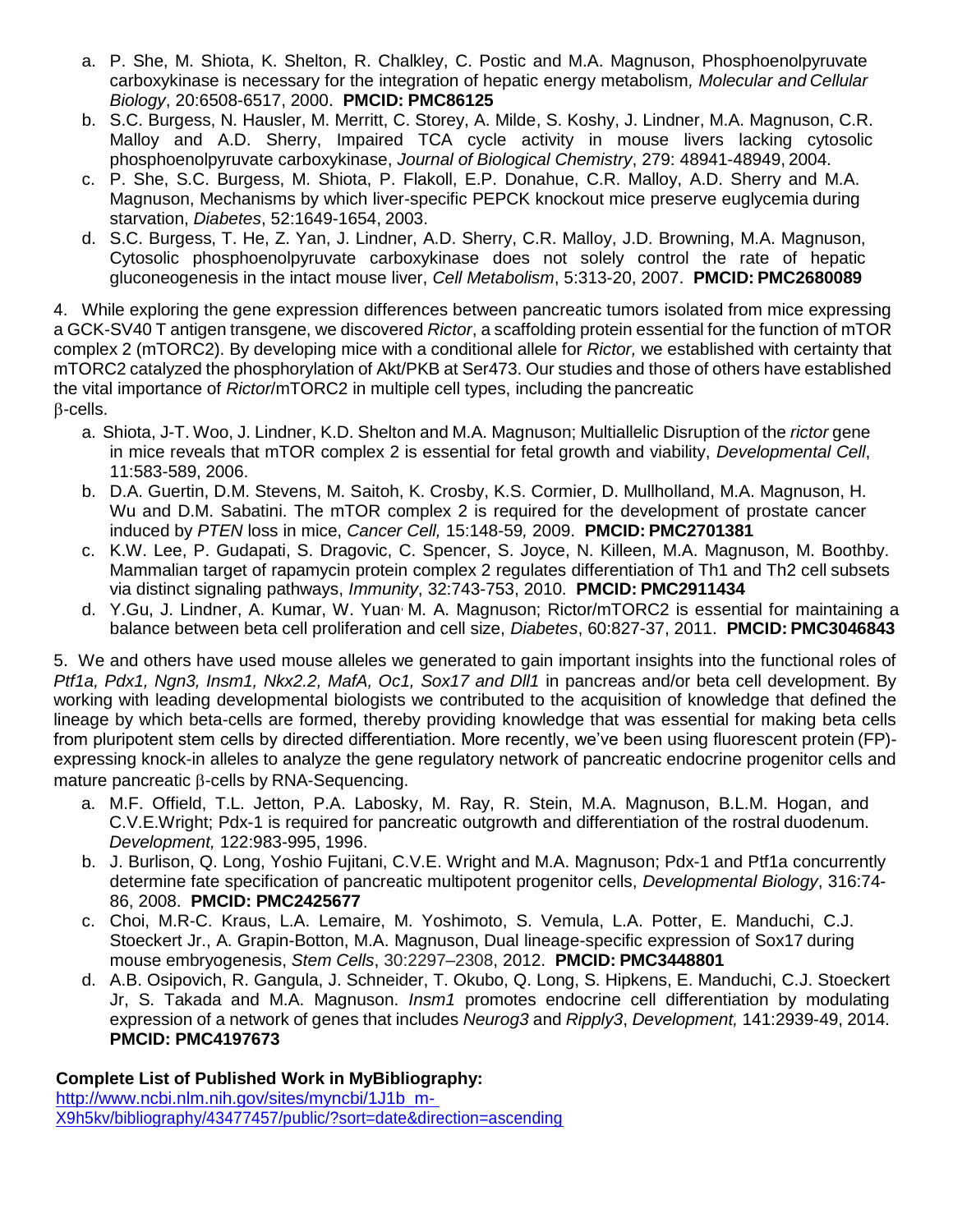- a. P. She, M. Shiota, K. Shelton, R. Chalkley, C. Postic and M.A. Magnuson, Phosphoenolpyruvate carboxykinase is necessary for the integration of hepatic energy metabolism*, Molecular and Cellular Biology*, 20:6508-6517, 2000. **PMCID: PMC86125**
- b. S.C. Burgess, N. Hausler, M. Merritt, C. Storey, A. Milde, S. Koshy, J. Lindner, M.A. Magnuson, C.R. Malloy and A.D. Sherry, Impaired TCA cycle activity in mouse livers lacking cytosolic phosphoenolpyruvate carboxykinase, *Journal of Biological Chemistry*, 279: 48941-48949, 2004.
- c. P. She, S.C. Burgess, M. Shiota, P. Flakoll, E.P. Donahue, C.R. Malloy, A.D. Sherry and M.A. Magnuson, Mechanisms by which liver-specific PEPCK knockout mice preserve euglycemia during starvation, *Diabetes*, 52:1649-1654, 2003.
- d. S.C. Burgess, T. He, Z. Yan, J. Lindner, A.D. Sherry, C.R. Malloy, J.D. Browning, M.A. Magnuson, Cytosolic phosphoenolpyruvate carboxykinase does not solely control the rate of hepatic gluconeogenesis in the intact mouse liver, *Cell Metabolism*, 5:313-20, 2007. **PMCID: PMC2680089**

4. While exploring the gene expression differences between pancreatic tumors isolated from mice expressing a GCK-SV40 T antigen transgene, we discovered *Rictor*, a scaffolding protein essential for the function of mTOR complex 2 (mTORC2). By developing mice with a conditional allele for *Rictor,* we established with certainty that mTORC2 catalyzed the phosphorylation of Akt/PKB at Ser473. Our studies and those of others have established the vital importance of *Rictor*/mTORC2 in multiple cell types, including the pancreatic  $\beta$ -cells.

- a. Shiota, J-T. Woo, J. Lindner, K.D. Shelton and M.A. Magnuson; Multiallelic Disruption of the *rictor* gene in mice reveals that mTOR complex 2 is essential for fetal growth and viability, *Developmental Cell*, 11:583-589, 2006.
- b. D.A. Guertin, D.M. Stevens, M. Saitoh, K. Crosby, K.S. Cormier, D. Mullholland, M.A. Magnuson, H. Wu and D.M. Sabatini. The mTOR complex 2 is required for the development of prostate cancer induced by *PTEN* loss in mice, *Cancer Cell,* 15:148-59*,* 2009. **PMCID: PMC2701381**
- c. K.W. Lee, P. Gudapati, S. Dragovic, C. Spencer, S. Joyce, N. Killeen, M.A. Magnuson, M. Boothby. Mammalian target of rapamycin protein complex 2 regulates differentiation of Th1 and Th2 cell subsets via distinct signaling pathways, *Immunity*, 32:743-753, 2010. **PMCID: PMC2911434**
- d. Y.Gu, J. Lindner, A. Kumar, W. Yuan, M. A. Magnuson; Rictor/mTORC2 is essential for maintaining a balance between beta cell proliferation and cell size, *Diabetes*, 60:827-37, 2011. **PMCID: PMC3046843**

5. We and others have used mouse alleles we generated to gain important insights into the functional roles of *Ptf1a, Pdx1, Ngn3, Insm1, Nkx2.2, MafA, Oc1, Sox17 and Dll1* in pancreas and/or beta cell development. By working with leading developmental biologists we contributed to the acquisition of knowledge that defined the lineage by which beta-cells are formed, thereby providing knowledge that was essential for making beta cells from pluripotent stem cells by directed differentiation. More recently, we've been using fluorescent protein (FP) expressing knock-in alleles to analyze the gene regulatory network of pancreatic endocrine progenitor cells and mature pancreatic  $\beta$ -cells by RNA-Sequencing.

- a. M.F. Offield, T.L. Jetton, P.A. Labosky, M. Ray, R. Stein, M.A. Magnuson, B.L.M. Hogan, and C.V.E.Wright; Pdx-1 is required for pancreatic outgrowth and differentiation of the rostral duodenum. *Development,* 122:983-995, 1996.
- b. J. Burlison, Q. Long, Yoshio Fujitani, C.V.E. Wright and M.A. Magnuson; Pdx-1 and Ptf1a concurrently determine fate specification of pancreatic multipotent progenitor cells, *Developmental Biology*, 316:74- 86, 2008. **PMCID: PMC2425677**
- c. Choi, M.R-C. Kraus, L.A. Lemaire, M. Yoshimoto, S. Vemula, L.A. Potter, E. Manduchi, C.J. Stoeckert Jr., A. Grapin-Botton, M.A. Magnuson, Dual lineage-specific expression of Sox17 during mouse embryogenesis, *Stem Cells*, 30:2297–2308, 2012. **PMCID: PMC3448801**
- d. A.B. Osipovich, R. Gangula, J. Schneider, T. Okubo, Q. Long, S. Hipkens, E. Manduchi, C.J. Stoeckert Jr, S. Takada and M.A. Magnuson. *Insm1* promotes endocrine cell differentiation by modulating expression of a network of genes that includes *Neurog3* and *Ripply3*, *Development,* 141:2939-49, 2014. **PMCID: PMC4197673**

# **Complete List of Published Work in MyBibliography:**

[http://www.ncbi.nlm.nih.gov/sites/myncbi/1J1b\\_m-](http://www.ncbi.nlm.nih.gov/sites/myncbi/1J1b_m-)X9h5kv/bibliography/43477457/public/?sort=date&direction=ascending